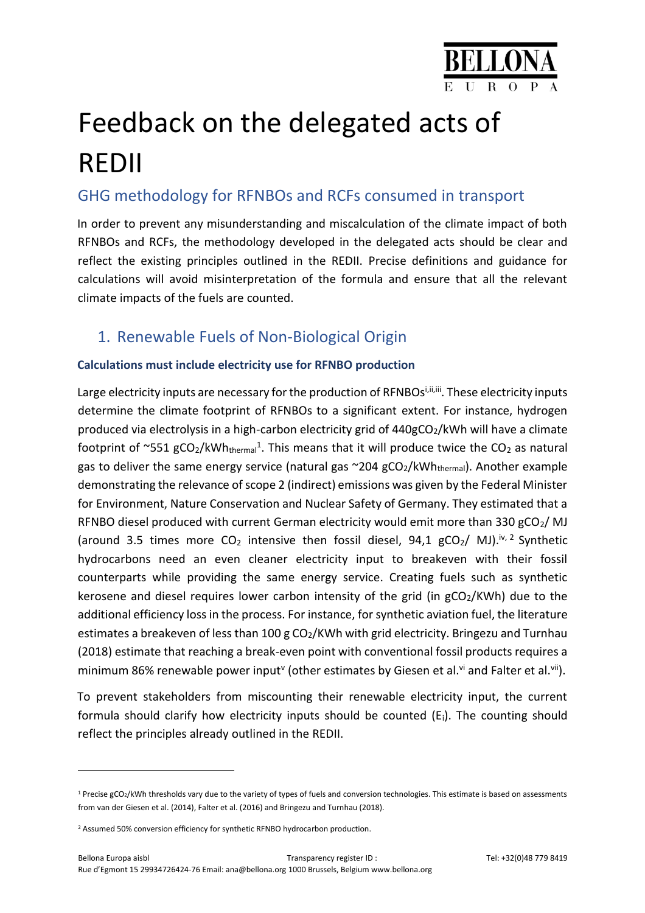

# Feedback on the delegated acts of REDII

# GHG methodology for RFNBOs and RCFs consumed in transport

In order to prevent any misunderstanding and miscalculation of the climate impact of both RFNBOs and RCFs, the methodology developed in the delegated acts should be clear and reflect the existing principles outlined in the REDII. Precise definitions and guidance for calculations will avoid misinterpretation of the formula and ensure that all the relevant climate impacts of the fuels are counted.

## 1. Renewable Fuels of Non-Biological Origin

## **Calculations must include electricity use for RFNBO production**

Large electricity inputs are necessary for the production of RFNBOsi, ii, iii. These electricity inputs determine the climate footprint of RFNBOs to a significant extent. For instance, hydrogen produced via electrolysis in a high-carbon electricity grid of 440gCO<sub>2</sub>/kWh will have a climate footprint of  $\sim$ 551 gCO<sub>2</sub>/kWh<sub>thermal</sub><sup>1</sup>. This means that it will produce twice the CO<sub>2</sub> as natural gas to deliver the same energy service (natural gas  $\sim$ 204 gCO<sub>2</sub>/kWh<sub>thermal</sub>). Another example demonstrating the relevance of scope 2 (indirect) emissions was given by the Federal Minister for Environment, Nature Conservation and Nuclear Safety of Germany. They estimated that a RFNBO diesel produced with current German electricity would emit more than 330  $gCO<sub>2</sub>/$  MJ (around 3.5 times more  $CO<sub>2</sub>$  intensive then fossil diesel, 94,1 gCO<sub>2</sub>/ MJ).<sup>iv, 2</sup> Synthetic hydrocarbons need an even cleaner electricity input to breakeven with their fossil counterparts while providing the same energy service. Creating fuels such as synthetic kerosene and diesel requires lower carbon intensity of the grid (in  $gCO<sub>2</sub>/KWh$ ) due to the additional efficiency loss in the process. For instance, for synthetic aviation fuel, the literature estimates a breakeven of less than 100 g CO<sub>2</sub>/KWh with grid electricity. Bringezu and Turnhau (2018) estimate that reaching a break-even point with conventional fossil products requires a minimum 86% renewable power input<sup>v</sup> (other estimates by Giesen et al.<sup>vi</sup> and Falter et al.<sup>vii</sup>).

To prevent stakeholders from miscounting their renewable electricity input, the current formula should clarify how electricity inputs should be counted  $(E_i)$ . The counting should reflect the principles already outlined in the REDII.

 $\overline{a}$ 

 $1$  Precise gCO<sub>2</sub>/kWh thresholds vary due to the variety of types of fuels and conversion technologies. This estimate is based on assessments from van der Giesen et al. (2014), Falter et al. (2016) and Bringezu and Turnhau (2018).

<sup>&</sup>lt;sup>2</sup> Assumed 50% conversion efficiency for synthetic RFNBO hydrocarbon production.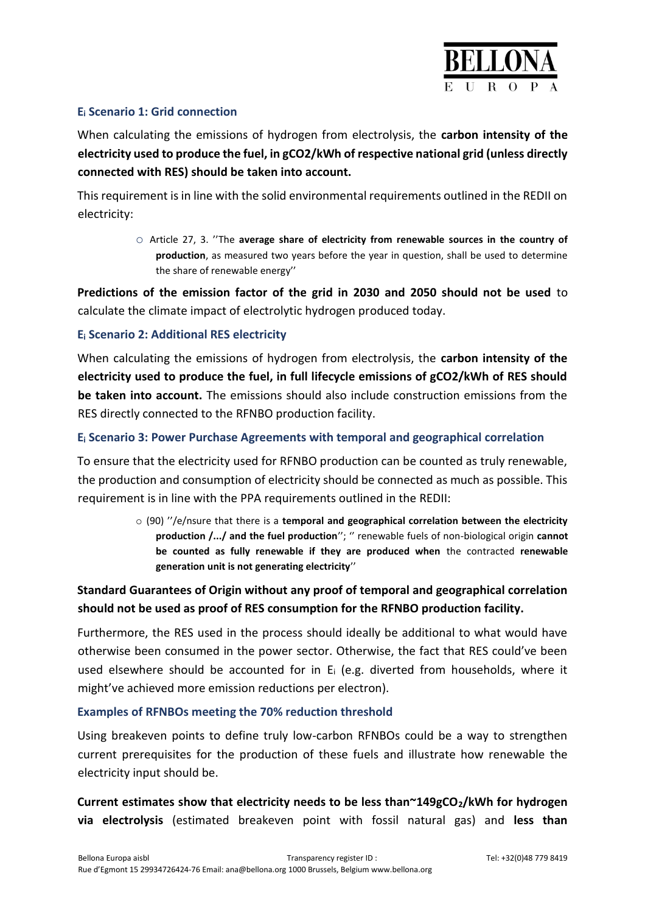

### **E<sup>i</sup> Scenario 1: Grid connection**

When calculating the emissions of hydrogen from electrolysis, the **carbon intensity of the electricity used to produce the fuel, in gCO2/kWh of respective national grid (unless directly connected with RES) should be taken into account.** 

This requirement is in line with the solid environmental requirements outlined in the REDII on electricity:

> o Article 27, 3. ''The **average share of electricity from renewable sources in the country of production**, as measured two years before the year in question, shall be used to determine the share of renewable energy''

**Predictions of the emission factor of the grid in 2030 and 2050 should not be used** to calculate the climate impact of electrolytic hydrogen produced today.

### **E<sup>i</sup> Scenario 2: Additional RES electricity**

When calculating the emissions of hydrogen from electrolysis, the **carbon intensity of the electricity used to produce the fuel, in full lifecycle emissions of gCO2/kWh of RES should be taken into account.** The emissions should also include construction emissions from the RES directly connected to the RFNBO production facility.

#### **E<sup>i</sup> Scenario 3: Power Purchase Agreements with temporal and geographical correlation**

To ensure that the electricity used for RFNBO production can be counted as truly renewable, the production and consumption of electricity should be connected as much as possible. This requirement is in line with the PPA requirements outlined in the REDII:

> o (90) ''/e/nsure that there is a **temporal and geographical correlation between the electricity production /.../ and the fuel production**''; '' renewable fuels of non-biological origin **cannot be counted as fully renewable if they are produced when** the contracted **renewable generation unit is not generating electricity**''

## **Standard Guarantees of Origin without any proof of temporal and geographical correlation should not be used as proof of RES consumption for the RFNBO production facility.**

Furthermore, the RES used in the process should ideally be additional to what would have otherwise been consumed in the power sector. Otherwise, the fact that RES could've been used elsewhere should be accounted for in  $E_i$  (e.g. diverted from households, where it might've achieved more emission reductions per electron).

#### **Examples of RFNBOs meeting the 70% reduction threshold**

Using breakeven points to define truly low-carbon RFNBOs could be a way to strengthen current prerequisites for the production of these fuels and illustrate how renewable the electricity input should be.

**Current estimates show that electricity needs to be less than~149gCO2/kWh for hydrogen via electrolysis** (estimated breakeven point with fossil natural gas) and **less than**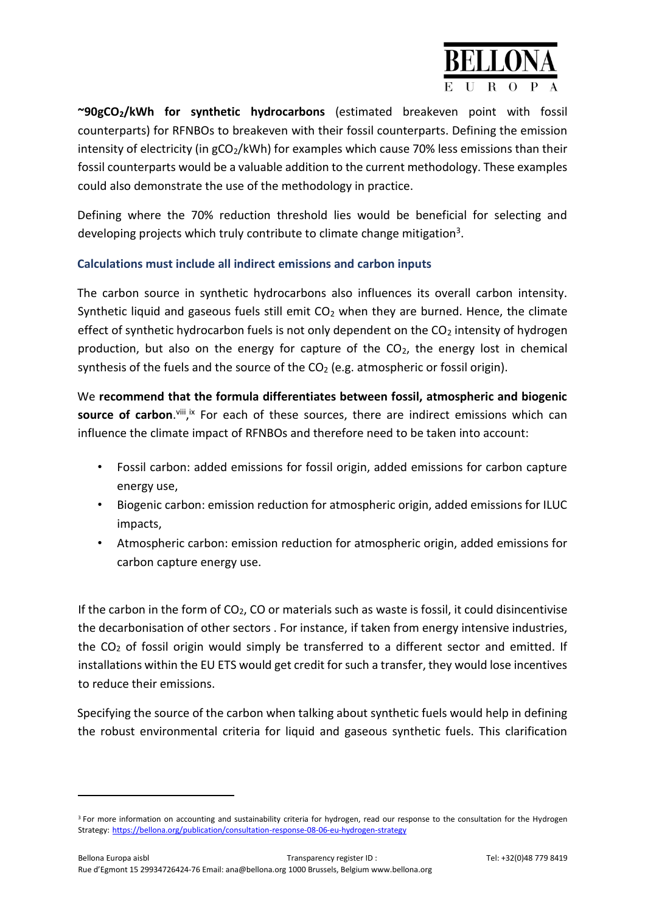

**~90gCO2/kWh for synthetic hydrocarbons** (estimated breakeven point with fossil counterparts) for RFNBOs to breakeven with their fossil counterparts. Defining the emission intensity of electricity (in  $gCO<sub>2</sub>/kWh$ ) for examples which cause 70% less emissions than their fossil counterparts would be a valuable addition to the current methodology. These examples could also demonstrate the use of the methodology in practice.

Defining where the 70% reduction threshold lies would be beneficial for selecting and developing projects which truly contribute to climate change mitigation<sup>3</sup>.

## **Calculations must include all indirect emissions and carbon inputs**

The carbon source in synthetic hydrocarbons also influences its overall carbon intensity. Synthetic liquid and gaseous fuels still emit  $CO<sub>2</sub>$  when they are burned. Hence, the climate effect of synthetic hydrocarbon fuels is not only dependent on the  $CO<sub>2</sub>$  intensity of hydrogen production, but also on the energy for capture of the  $CO<sub>2</sub>$ , the energy lost in chemical synthesis of the fuels and the source of the  $CO<sub>2</sub>$  (e.g. atmospheric or fossil origin).

We **recommend that the formula differentiates between fossil, atmospheric and biogenic**  source of carbon.<sup>viii</sup>,<sup>ix</sup> For each of these sources, there are indirect emissions which can influence the climate impact of RFNBOs and therefore need to be taken into account:

- Fossil carbon: added emissions for fossil origin, added emissions for carbon capture energy use,
- Biogenic carbon: emission reduction for atmospheric origin, added emissions for ILUC impacts,
- Atmospheric carbon: emission reduction for atmospheric origin, added emissions for carbon capture energy use.

If the carbon in the form of  $CO<sub>2</sub>$ , CO or materials such as waste is fossil, it could disincentivise the decarbonisation of other sectors . For instance, if taken from energy intensive industries, the CO<sup>2</sup> of fossil origin would simply be transferred to a different sector and emitted. If installations within the EU ETS would get credit for such a transfer, they would lose incentives to reduce their emissions.

Specifying the source of the carbon when talking about synthetic fuels would help in defining the robust environmental criteria for liquid and gaseous synthetic fuels. This clarification

 $\overline{a}$ 

<sup>&</sup>lt;sup>3</sup> For more information on accounting and sustainability criteria for hydrogen, read our response to the consultation for the Hydrogen Strategy: <https://bellona.org/publication/consultation-response-08-06-eu-hydrogen-strategy>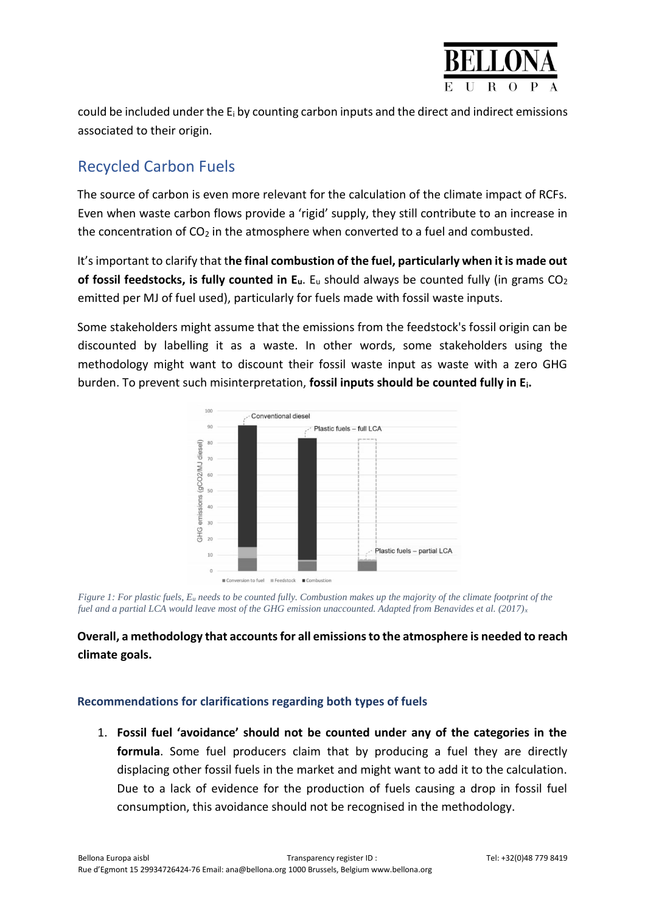

could be included under the  $E_i$  by counting carbon inputs and the direct and indirect emissions associated to their origin.

# Recycled Carbon Fuels

The source of carbon is even more relevant for the calculation of the climate impact of RCFs. Even when waste carbon flows provide a 'rigid' supply, they still contribute to an increase in the concentration of  $CO<sub>2</sub>$  in the atmosphere when converted to a fuel and combusted.

It's important to clarify that t**he final combustion of the fuel, particularly when it is made out of fossil feedstocks, is fully counted in Eu**. E<sup>u</sup> should always be counted fully (in grams CO<sup>2</sup> emitted per MJ of fuel used), particularly for fuels made with fossil waste inputs.

Some stakeholders might assume that the emissions from the feedstock's fossil origin can be discounted by labelling it as a waste. In other words, some stakeholders using the methodology might want to discount their fossil waste input as waste with a zero GHG burden. To prevent such misinterpretation, **fossil inputs should be counted fully in Ei.**



*Figure 1: For plastic fuels, E<sup>u</sup> needs to be counted fully. Combustion makes up the majority of the climate footprint of the fuel and a partial LCA would leave most of the GHG emission unaccounted. Adapted from Benavides et al. (2017)<sup>x</sup>*

## **Overall, a methodology that accounts for all emissions to the atmosphere is needed to reach climate goals.**

## **Recommendations for clarifications regarding both types of fuels**

1. **Fossil fuel 'avoidance' should not be counted under any of the categories in the formula**. Some fuel producers claim that by producing a fuel they are directly displacing other fossil fuels in the market and might want to add it to the calculation. Due to a lack of evidence for the production of fuels causing a drop in fossil fuel consumption, this avoidance should not be recognised in the methodology.